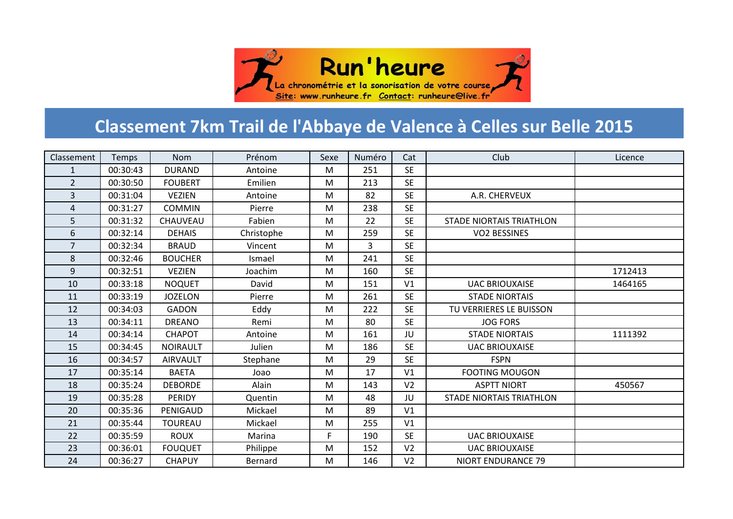

## **Classement 7km Trail de l'Abbaye de Valence à Celles sur Belle 2015**

| Classement     | Temps    | <b>Nom</b>      | Prénom     | Sexe | Numéro | Cat            | Club                            | Licence |
|----------------|----------|-----------------|------------|------|--------|----------------|---------------------------------|---------|
| $\mathbf{1}$   | 00:30:43 | <b>DURAND</b>   | Antoine    | M    | 251    | <b>SE</b>      |                                 |         |
| $\overline{2}$ | 00:30:50 | <b>FOUBERT</b>  | Emilien    | M    | 213    | <b>SE</b>      |                                 |         |
| 3              | 00:31:04 | <b>VEZIEN</b>   | Antoine    | M    | 82     | <b>SE</b>      | A.R. CHERVEUX                   |         |
| 4              | 00:31:27 | <b>COMMIN</b>   | Pierre     | M    | 238    | <b>SE</b>      |                                 |         |
| 5              | 00:31:32 | CHAUVEAU        | Fabien     | M    | 22     | <b>SE</b>      | <b>STADE NIORTAIS TRIATHLON</b> |         |
| 6              | 00:32:14 | <b>DEHAIS</b>   | Christophe | M    | 259    | <b>SE</b>      | <b>VO2 BESSINES</b>             |         |
| $\overline{7}$ | 00:32:34 | <b>BRAUD</b>    | Vincent    | M    | 3      | <b>SE</b>      |                                 |         |
| 8              | 00:32:46 | <b>BOUCHER</b>  | Ismael     | M    | 241    | <b>SE</b>      |                                 |         |
| 9              | 00:32:51 | <b>VEZIEN</b>   | Joachim    | M    | 160    | <b>SE</b>      |                                 | 1712413 |
| 10             | 00:33:18 | <b>NOQUET</b>   | David      | M    | 151    | V1             | <b>UAC BRIOUXAISE</b>           | 1464165 |
| 11             | 00:33:19 | <b>JOZELON</b>  | Pierre     | M    | 261    | <b>SE</b>      | <b>STADE NIORTAIS</b>           |         |
| 12             | 00:34:03 | <b>GADON</b>    | Eddy       | M    | 222    | <b>SE</b>      | TU VERRIERES LE BUISSON         |         |
| 13             | 00:34:11 | <b>DREANO</b>   | Remi       | M    | 80     | <b>SE</b>      | <b>JOG FORS</b>                 |         |
| 14             | 00:34:14 | <b>CHAPOT</b>   | Antoine    | M    | 161    | JU             | <b>STADE NIORTAIS</b>           | 1111392 |
| 15             | 00:34:45 | <b>NOIRAULT</b> | Julien     | M    | 186    | <b>SE</b>      | <b>UAC BRIOUXAISE</b>           |         |
| 16             | 00:34:57 | <b>AIRVAULT</b> | Stephane   | M    | 29     | <b>SE</b>      | <b>FSPN</b>                     |         |
| 17             | 00:35:14 | <b>BAETA</b>    | Joao       | M    | 17     | V <sub>1</sub> | <b>FOOTING MOUGON</b>           |         |
| 18             | 00:35:24 | <b>DEBORDE</b>  | Alain      | M    | 143    | V <sub>2</sub> | <b>ASPTT NIORT</b>              | 450567  |
| 19             | 00:35:28 | PERIDY          | Quentin    | M    | 48     | JU             | <b>STADE NIORTAIS TRIATHLON</b> |         |
| 20             | 00:35:36 | PENIGAUD        | Mickael    | M    | 89     | V <sub>1</sub> |                                 |         |
| 21             | 00:35:44 | <b>TOUREAU</b>  | Mickael    | M    | 255    | V1             |                                 |         |
| 22             | 00:35:59 | <b>ROUX</b>     | Marina     | F    | 190    | <b>SE</b>      | <b>UAC BRIOUXAISE</b>           |         |
| 23             | 00:36:01 | <b>FOUQUET</b>  | Philippe   | M    | 152    | V <sub>2</sub> | <b>UAC BRIOUXAISE</b>           |         |
| 24             | 00:36:27 | <b>CHAPUY</b>   | Bernard    | M    | 146    | V <sub>2</sub> | <b>NIORT ENDURANCE 79</b>       |         |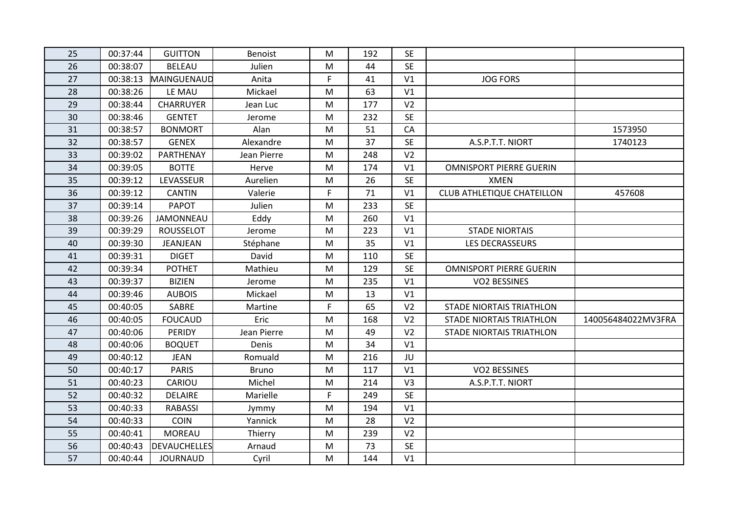| 25 | 00:37:44 | <b>GUITTON</b>      | <b>Benoist</b> | M  | 192 | <b>SE</b>      |                                   |                    |
|----|----------|---------------------|----------------|----|-----|----------------|-----------------------------------|--------------------|
| 26 | 00:38:07 | <b>BELEAU</b>       | Julien         | M  | 44  | <b>SE</b>      |                                   |                    |
| 27 | 00:38:13 | MAINGUENAUD         | Anita          | F. | 41  | V1             | <b>JOG FORS</b>                   |                    |
| 28 | 00:38:26 | LE MAU              | Mickael        | M  | 63  | V1             |                                   |                    |
| 29 | 00:38:44 | <b>CHARRUYER</b>    | Jean Luc       | M  | 177 | V <sub>2</sub> |                                   |                    |
| 30 | 00:38:46 | <b>GENTET</b>       | Jerome         | M  | 232 | <b>SE</b>      |                                   |                    |
| 31 | 00:38:57 | <b>BONMORT</b>      | Alan           | M  | 51  | CA             |                                   | 1573950            |
| 32 | 00:38:57 | <b>GENEX</b>        | Alexandre      | M  | 37  | <b>SE</b>      | A.S.P.T.T. NIORT                  | 1740123            |
| 33 | 00:39:02 | PARTHENAY           | Jean Pierre    | M  | 248 | V <sub>2</sub> |                                   |                    |
| 34 | 00:39:05 | <b>BOTTE</b>        | Herve          | M  | 174 | V1             | <b>OMNISPORT PIERRE GUERIN</b>    |                    |
| 35 | 00:39:12 | LEVASSEUR           | Aurelien       | M  | 26  | <b>SE</b>      | <b>XMEN</b>                       |                    |
| 36 | 00:39:12 | <b>CANTIN</b>       | Valerie        | F  | 71  | V <sub>1</sub> | <b>CLUB ATHLETIQUE CHATEILLON</b> | 457608             |
| 37 | 00:39:14 | <b>PAPOT</b>        | Julien         | M  | 233 | <b>SE</b>      |                                   |                    |
| 38 | 00:39:26 | <b>JAMONNEAU</b>    | Eddy           | M  | 260 | V1             |                                   |                    |
| 39 | 00:39:29 | <b>ROUSSELOT</b>    | Jerome         | M  | 223 | V1             | <b>STADE NIORTAIS</b>             |                    |
| 40 | 00:39:30 | JEANJEAN            | Stéphane       | M  | 35  | V1             | LES DECRASSEURS                   |                    |
| 41 | 00:39:31 | <b>DIGET</b>        | David          | M  | 110 | <b>SE</b>      |                                   |                    |
| 42 | 00:39:34 | <b>POTHET</b>       | Mathieu        | M  | 129 | <b>SE</b>      | <b>OMNISPORT PIERRE GUERIN</b>    |                    |
| 43 | 00:39:37 | <b>BIZIEN</b>       | Jerome         | M  | 235 | V <sub>1</sub> | <b>VO2 BESSINES</b>               |                    |
| 44 | 00:39:46 | <b>AUBOIS</b>       | Mickael        | M  | 13  | V <sub>1</sub> |                                   |                    |
| 45 | 00:40:05 | SABRE               | Martine        | F  | 65  | V <sub>2</sub> | <b>STADE NIORTAIS TRIATHLON</b>   |                    |
| 46 | 00:40:05 | <b>FOUCAUD</b>      | Eric           | M  | 168 | V <sub>2</sub> | <b>STADE NIORTAIS TRIATHLON</b>   | 140056484022MV3FRA |
| 47 | 00:40:06 | PERIDY              | Jean Pierre    | M  | 49  | V <sub>2</sub> | <b>STADE NIORTAIS TRIATHLON</b>   |                    |
| 48 | 00:40:06 | <b>BOQUET</b>       | Denis          | M  | 34  | V1             |                                   |                    |
| 49 | 00:40:12 | <b>JEAN</b>         | Romuald        | M  | 216 | JU             |                                   |                    |
| 50 | 00:40:17 | <b>PARIS</b>        | <b>Bruno</b>   | M  | 117 | V1             | <b>VO2 BESSINES</b>               |                    |
| 51 | 00:40:23 | CARIOU              | Michel         | M  | 214 | V <sub>3</sub> | A.S.P.T.T. NIORT                  |                    |
| 52 | 00:40:32 | <b>DELAIRE</b>      | Marielle       | F. | 249 | <b>SE</b>      |                                   |                    |
| 53 | 00:40:33 | <b>RABASSI</b>      | Jymmy          | M  | 194 | V1             |                                   |                    |
| 54 | 00:40:33 | <b>COIN</b>         | Yannick        | M  | 28  | V <sub>2</sub> |                                   |                    |
| 55 | 00:40:41 | <b>MOREAU</b>       | Thierry        | M  | 239 | V <sub>2</sub> |                                   |                    |
| 56 | 00:40:43 | <b>DEVAUCHELLES</b> | Arnaud         | M  | 73  | <b>SE</b>      |                                   |                    |
| 57 | 00:40:44 | <b>JOURNAUD</b>     | Cyril          | M  | 144 | V1             |                                   |                    |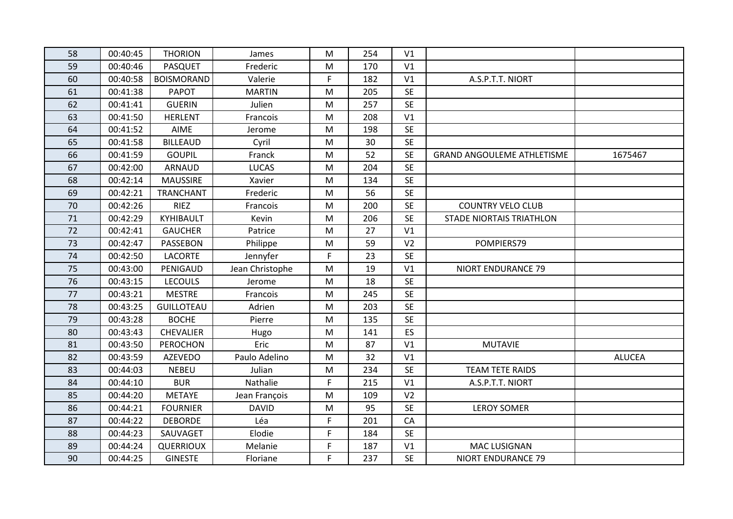| 58 | 00:40:45 | <b>THORION</b>    | James           | M  | 254 | V1             |                                   |               |
|----|----------|-------------------|-----------------|----|-----|----------------|-----------------------------------|---------------|
| 59 | 00:40:46 | <b>PASQUET</b>    | Frederic        | M  | 170 | V1             |                                   |               |
| 60 | 00:40:58 | <b>BOISMORAND</b> | Valerie         | F  | 182 | V1             | A.S.P.T.T. NIORT                  |               |
| 61 | 00:41:38 | <b>PAPOT</b>      | <b>MARTIN</b>   | M  | 205 | <b>SE</b>      |                                   |               |
| 62 | 00:41:41 | <b>GUERIN</b>     | Julien          | M  | 257 | <b>SE</b>      |                                   |               |
| 63 | 00:41:50 | <b>HERLENT</b>    | Francois        | M  | 208 | V1             |                                   |               |
| 64 | 00:41:52 | AIME              | Jerome          | M  | 198 | <b>SE</b>      |                                   |               |
| 65 | 00:41:58 | <b>BILLEAUD</b>   | Cyril           | M  | 30  | <b>SE</b>      |                                   |               |
| 66 | 00:41:59 | <b>GOUPIL</b>     | Franck          | M  | 52  | <b>SE</b>      | <b>GRAND ANGOULEME ATHLETISME</b> | 1675467       |
| 67 | 00:42:00 | <b>ARNAUD</b>     | <b>LUCAS</b>    | M  | 204 | <b>SE</b>      |                                   |               |
| 68 | 00:42:14 | <b>MAUSSIRE</b>   | Xavier          | M  | 134 | <b>SE</b>      |                                   |               |
| 69 | 00:42:21 | <b>TRANCHANT</b>  | Frederic        | M  | 56  | <b>SE</b>      |                                   |               |
| 70 | 00:42:26 | <b>RIEZ</b>       | Francois        | M  | 200 | <b>SE</b>      | <b>COUNTRY VELO CLUB</b>          |               |
| 71 | 00:42:29 | KYHIBAULT         | Kevin           | M  | 206 | <b>SE</b>      | <b>STADE NIORTAIS TRIATHLON</b>   |               |
| 72 | 00:42:41 | <b>GAUCHER</b>    | Patrice         | M  | 27  | V1             |                                   |               |
| 73 | 00:42:47 | PASSEBON          | Philippe        | M  | 59  | V <sub>2</sub> | POMPIERS79                        |               |
| 74 | 00:42:50 | <b>LACORTE</b>    | Jennyfer        | F. | 23  | <b>SE</b>      |                                   |               |
| 75 | 00:43:00 | PENIGAUD          | Jean Christophe | M  | 19  | V1             | <b>NIORT ENDURANCE 79</b>         |               |
| 76 | 00:43:15 | <b>LECOULS</b>    | Jerome          | M  | 18  | <b>SE</b>      |                                   |               |
| 77 | 00:43:21 | <b>MESTRE</b>     | Francois        | M  | 245 | <b>SE</b>      |                                   |               |
| 78 | 00:43:25 | <b>GUILLOTEAU</b> | Adrien          | M  | 203 | <b>SE</b>      |                                   |               |
| 79 | 00:43:28 | <b>BOCHE</b>      | Pierre          | M  | 135 | <b>SE</b>      |                                   |               |
| 80 | 00:43:43 | <b>CHEVALIER</b>  | Hugo            | M  | 141 | <b>ES</b>      |                                   |               |
| 81 | 00:43:50 | <b>PEROCHON</b>   | Eric            | M  | 87  | V <sub>1</sub> | <b>MUTAVIE</b>                    |               |
| 82 | 00:43:59 | <b>AZEVEDO</b>    | Paulo Adelino   | M  | 32  | V1             |                                   | <b>ALUCEA</b> |
| 83 | 00:44:03 | <b>NEBEU</b>      | Julian          | M  | 234 | <b>SE</b>      | <b>TEAM TETE RAIDS</b>            |               |
| 84 | 00:44:10 | <b>BUR</b>        | Nathalie        | F  | 215 | V1             | A.S.P.T.T. NIORT                  |               |
| 85 | 00:44:20 | <b>METAYE</b>     | Jean François   | M  | 109 | V <sub>2</sub> |                                   |               |
| 86 | 00:44:21 | <b>FOURNIER</b>   | <b>DAVID</b>    | M  | 95  | <b>SE</b>      | <b>LEROY SOMER</b>                |               |
| 87 | 00:44:22 | <b>DEBORDE</b>    | Léa             | F  | 201 | CA             |                                   |               |
| 88 | 00:44:23 | SAUVAGET          | Elodie          | F  | 184 | <b>SE</b>      |                                   |               |
| 89 | 00:44:24 | QUERRIOUX         | Melanie         | F  | 187 | V1             | <b>MAC LUSIGNAN</b>               |               |
| 90 | 00:44:25 | <b>GINESTE</b>    | Floriane        | F. | 237 | <b>SE</b>      | <b>NIORT ENDURANCE 79</b>         |               |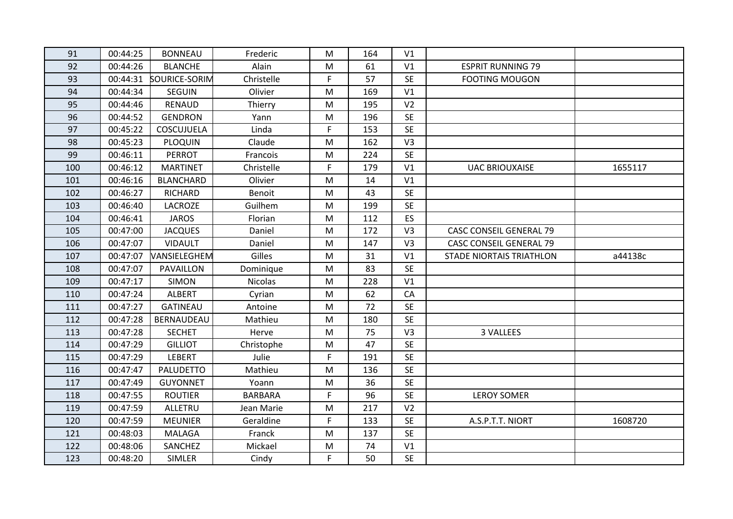| 91  | 00:44:25 | <b>BONNEAU</b>       | Frederic       | M         | 164 | V1             |                                 |         |
|-----|----------|----------------------|----------------|-----------|-----|----------------|---------------------------------|---------|
| 92  | 00:44:26 | <b>BLANCHE</b>       | Alain          | M         | 61  | V1             | <b>ESPRIT RUNNING 79</b>        |         |
| 93  | 00:44:31 | <b>SOURICE-SORIM</b> | Christelle     | F         | 57  | <b>SE</b>      | <b>FOOTING MOUGON</b>           |         |
| 94  | 00:44:34 | <b>SEGUIN</b>        | Olivier        | M         | 169 | V1             |                                 |         |
| 95  | 00:44:46 | <b>RENAUD</b>        | Thierry        | M         | 195 | V <sub>2</sub> |                                 |         |
| 96  | 00:44:52 | <b>GENDRON</b>       | Yann           | M         | 196 | <b>SE</b>      |                                 |         |
| 97  | 00:45:22 | COSCUJUELA           | Linda          | F         | 153 | <b>SE</b>      |                                 |         |
| 98  | 00:45:23 | <b>PLOQUIN</b>       | Claude         | M         | 162 | V3             |                                 |         |
| 99  | 00:46:11 | <b>PERROT</b>        | Francois       | M         | 224 | <b>SE</b>      |                                 |         |
| 100 | 00:46:12 | <b>MARTINET</b>      | Christelle     | F.        | 179 | V1             | <b>UAC BRIOUXAISE</b>           | 1655117 |
| 101 | 00:46:16 | <b>BLANCHARD</b>     | Olivier        | M         | 14  | V1             |                                 |         |
| 102 | 00:46:27 | RICHARD              | Benoit         | M         | 43  | <b>SE</b>      |                                 |         |
| 103 | 00:46:40 | <b>LACROZE</b>       | Guilhem        | M         | 199 | <b>SE</b>      |                                 |         |
| 104 | 00:46:41 | <b>JAROS</b>         | Florian        | M         | 112 | ES             |                                 |         |
| 105 | 00:47:00 | <b>JACQUES</b>       | Daniel         | M         | 172 | V <sub>3</sub> | <b>CASC CONSEIL GENERAL 79</b>  |         |
| 106 | 00:47:07 | <b>VIDAULT</b>       | Daniel         | M         | 147 | V3             | <b>CASC CONSEIL GENERAL 79</b>  |         |
| 107 | 00:47:07 | VANSIELEGHEM         | Gilles         | M         | 31  | V1             | <b>STADE NIORTAIS TRIATHLON</b> | a44138c |
| 108 | 00:47:07 | PAVAILLON            | Dominique      | M         | 83  | <b>SE</b>      |                                 |         |
| 109 | 00:47:17 | <b>SIMON</b>         | <b>Nicolas</b> | M         | 228 | V1             |                                 |         |
| 110 | 00:47:24 | <b>ALBERT</b>        | Cyrian         | ${\sf M}$ | 62  | ${\sf CA}$     |                                 |         |
| 111 | 00:47:27 | <b>GATINEAU</b>      | Antoine        | M         | 72  | <b>SE</b>      |                                 |         |
| 112 | 00:47:28 | BERNAUDEAU           | Mathieu        | M         | 180 | <b>SE</b>      |                                 |         |
| 113 | 00:47:28 | <b>SECHET</b>        | Herve          | M         | 75  | V <sub>3</sub> | 3 VALLEES                       |         |
| 114 | 00:47:29 | <b>GILLIOT</b>       | Christophe     | M         | 47  | <b>SE</b>      |                                 |         |
| 115 | 00:47:29 | <b>LEBERT</b>        | Julie          | F         | 191 | <b>SE</b>      |                                 |         |
| 116 | 00:47:47 | <b>PALUDETTO</b>     | Mathieu        | M         | 136 | <b>SE</b>      |                                 |         |
| 117 | 00:47:49 | <b>GUYONNET</b>      | Yoann          | M         | 36  | <b>SE</b>      |                                 |         |
| 118 | 00:47:55 | <b>ROUTIER</b>       | <b>BARBARA</b> | F         | 96  | <b>SE</b>      | <b>LEROY SOMER</b>              |         |
| 119 | 00:47:59 | <b>ALLETRU</b>       | Jean Marie     | M         | 217 | V <sub>2</sub> |                                 |         |
| 120 | 00:47:59 | <b>MEUNIER</b>       | Geraldine      | F         | 133 | <b>SE</b>      | A.S.P.T.T. NIORT                | 1608720 |
| 121 | 00:48:03 | MALAGA               | Franck         | M         | 137 | <b>SE</b>      |                                 |         |
| 122 | 00:48:06 | SANCHEZ              | Mickael        | M         | 74  | V1             |                                 |         |
| 123 | 00:48:20 | <b>SIMLER</b>        | Cindy          | F         | 50  | <b>SE</b>      |                                 |         |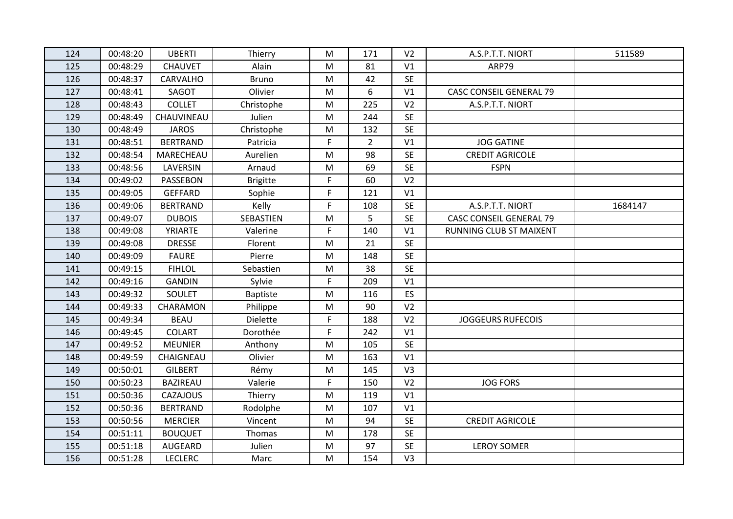| 124 | 00:48:20 | <b>UBERTI</b>   | Thierry         | M | 171            | V <sub>2</sub> | A.S.P.T.T. NIORT               | 511589  |
|-----|----------|-----------------|-----------------|---|----------------|----------------|--------------------------------|---------|
| 125 | 00:48:29 | <b>CHAUVET</b>  | Alain           | M | 81             | V1             | ARP79                          |         |
| 126 | 00:48:37 | <b>CARVALHO</b> | <b>Bruno</b>    | M | 42             | <b>SE</b>      |                                |         |
| 127 | 00:48:41 | SAGOT           | Olivier         | M | 6              | V1             | <b>CASC CONSEIL GENERAL 79</b> |         |
| 128 | 00:48:43 | <b>COLLET</b>   | Christophe      | M | 225            | V <sub>2</sub> | A.S.P.T.T. NIORT               |         |
| 129 | 00:48:49 | CHAUVINEAU      | Julien          | M | 244            | <b>SE</b>      |                                |         |
| 130 | 00:48:49 | <b>JAROS</b>    | Christophe      | M | 132            | <b>SE</b>      |                                |         |
| 131 | 00:48:51 | <b>BERTRAND</b> | Patricia        | F | $\overline{2}$ | V1             | <b>JOG GATINE</b>              |         |
| 132 | 00:48:54 | MARECHEAU       | Aurelien        | M | 98             | <b>SE</b>      | <b>CREDIT AGRICOLE</b>         |         |
| 133 | 00:48:56 | LAVERSIN        | Arnaud          | M | 69             | <b>SE</b>      | <b>FSPN</b>                    |         |
| 134 | 00:49:02 | PASSEBON        | <b>Brigitte</b> | F | 60             | V <sub>2</sub> |                                |         |
| 135 | 00:49:05 | <b>GEFFARD</b>  | Sophie          | F | 121            | V1             |                                |         |
| 136 | 00:49:06 | <b>BERTRAND</b> | Kelly           | F | 108            | <b>SE</b>      | A.S.P.T.T. NIORT               | 1684147 |
| 137 | 00:49:07 | <b>DUBOIS</b>   | SEBASTIEN       | M | 5              | <b>SE</b>      | <b>CASC CONSEIL GENERAL 79</b> |         |
| 138 | 00:49:08 | YRIARTE         | Valerine        | F | 140            | V1             | RUNNING CLUB ST MAIXENT        |         |
| 139 | 00:49:08 | <b>DRESSE</b>   | Florent         | M | 21             | <b>SE</b>      |                                |         |
| 140 | 00:49:09 | <b>FAURE</b>    | Pierre          | M | 148            | <b>SE</b>      |                                |         |
| 141 | 00:49:15 | <b>FIHLOL</b>   | Sebastien       | M | 38             | <b>SE</b>      |                                |         |
| 142 | 00:49:16 | <b>GANDIN</b>   | Sylvie          | F | 209            | V1             |                                |         |
| 143 | 00:49:32 | SOULET          | <b>Baptiste</b> | M | 116            | ES             |                                |         |
| 144 | 00:49:33 | CHARAMON        | Philippe        | M | 90             | V <sub>2</sub> |                                |         |
| 145 | 00:49:34 | <b>BEAU</b>     | <b>Dielette</b> | F | 188            | V <sub>2</sub> | <b>JOGGEURS RUFECOIS</b>       |         |
| 146 | 00:49:45 | <b>COLART</b>   | Dorothée        | F | 242            | V1             |                                |         |
| 147 | 00:49:52 | <b>MEUNIER</b>  | Anthony         | M | 105            | <b>SE</b>      |                                |         |
| 148 | 00:49:59 | CHAIGNEAU       | Olivier         | M | 163            | V1             |                                |         |
| 149 | 00:50:01 | <b>GILBERT</b>  | Rémy            | M | 145            | V3             |                                |         |
| 150 | 00:50:23 | <b>BAZIREAU</b> | Valerie         | F | 150            | V <sub>2</sub> | <b>JOG FORS</b>                |         |
| 151 | 00:50:36 | <b>CAZAJOUS</b> | Thierry         | M | 119            | V1             |                                |         |
| 152 | 00:50:36 | <b>BERTRAND</b> | Rodolphe        | M | 107            | V1             |                                |         |
| 153 | 00:50:56 | <b>MERCIER</b>  | Vincent         | M | 94             | <b>SE</b>      | <b>CREDIT AGRICOLE</b>         |         |
| 154 | 00:51:11 | <b>BOUQUET</b>  | Thomas          | M | 178            | <b>SE</b>      |                                |         |
| 155 | 00:51:18 | AUGEARD         | Julien          | M | 97             | <b>SE</b>      | <b>LEROY SOMER</b>             |         |
| 156 | 00:51:28 | <b>LECLERC</b>  | Marc            | M | 154            | V <sub>3</sub> |                                |         |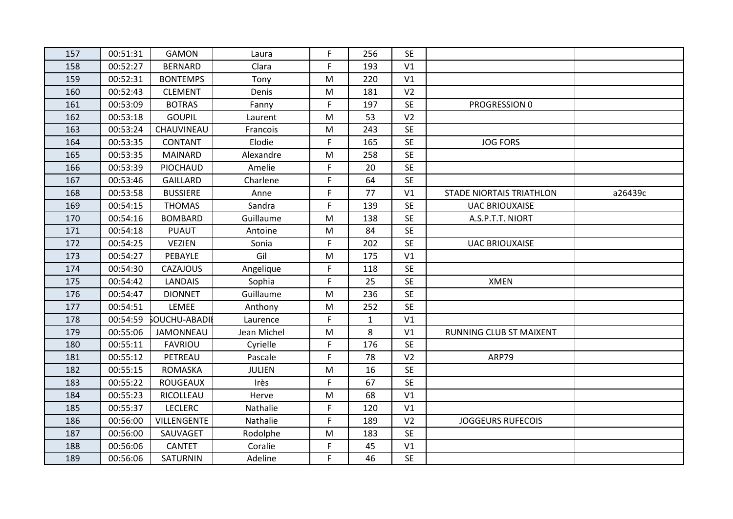| 157 | 00:51:31 | <b>GAMON</b>         | Laura         | F           | 256          | <b>SE</b>      |                                 |         |
|-----|----------|----------------------|---------------|-------------|--------------|----------------|---------------------------------|---------|
| 158 | 00:52:27 | <b>BERNARD</b>       | Clara         | F.          | 193          | V1             |                                 |         |
| 159 | 00:52:31 | <b>BONTEMPS</b>      | Tony          | M           | 220          | V1             |                                 |         |
| 160 | 00:52:43 | <b>CLEMENT</b>       | Denis         | M           | 181          | V <sub>2</sub> |                                 |         |
| 161 | 00:53:09 | <b>BOTRAS</b>        | Fanny         | F           | 197          | <b>SE</b>      | PROGRESSION 0                   |         |
| 162 | 00:53:18 | <b>GOUPIL</b>        | Laurent       | M           | 53           | V <sub>2</sub> |                                 |         |
| 163 | 00:53:24 | CHAUVINEAU           | Francois      | M           | 243          | <b>SE</b>      |                                 |         |
| 164 | 00:53:35 | <b>CONTANT</b>       | Elodie        | F           | 165          | <b>SE</b>      | <b>JOG FORS</b>                 |         |
| 165 | 00:53:35 | <b>MAINARD</b>       | Alexandre     | M           | 258          | <b>SE</b>      |                                 |         |
| 166 | 00:53:39 | PIOCHAUD             | Amelie        | F.          | 20           | <b>SE</b>      |                                 |         |
| 167 | 00:53:46 | <b>GAILLARD</b>      | Charlene      | F           | 64           | <b>SE</b>      |                                 |         |
| 168 | 00:53:58 | <b>BUSSIERE</b>      | Anne          | F           | 77           | V1             | <b>STADE NIORTAIS TRIATHLON</b> | a26439c |
| 169 | 00:54:15 | <b>THOMAS</b>        | Sandra        | F.          | 139          | <b>SE</b>      | <b>UAC BRIOUXAISE</b>           |         |
| 170 | 00:54:16 | <b>BOMBARD</b>       | Guillaume     | M           | 138          | <b>SE</b>      | A.S.P.T.T. NIORT                |         |
| 171 | 00:54:18 | <b>PUAUT</b>         | Antoine       | M           | 84           | <b>SE</b>      |                                 |         |
| 172 | 00:54:25 | <b>VEZIEN</b>        | Sonia         | F           | 202          | <b>SE</b>      | <b>UAC BRIOUXAISE</b>           |         |
| 173 | 00:54:27 | PEBAYLE              | Gil           | M           | 175          | V1             |                                 |         |
| 174 | 00:54:30 | <b>CAZAJOUS</b>      | Angelique     | F           | 118          | <b>SE</b>      |                                 |         |
| 175 | 00:54:42 | <b>LANDAIS</b>       | Sophia        | F           | 25           | <b>SE</b>      | <b>XMEN</b>                     |         |
| 176 | 00:54:47 | <b>DIONNET</b>       | Guillaume     | M           | 236          | <b>SE</b>      |                                 |         |
| 177 | 00:54:51 | LEMEE                | Anthony       | M           | 252          | <b>SE</b>      |                                 |         |
| 178 | 00:54:59 | <b>SOUCHU-ABADII</b> | Laurence      | F           | $\mathbf{1}$ | V1             |                                 |         |
| 179 | 00:55:06 | JAMONNEAU            | Jean Michel   | M           | 8            | V <sub>1</sub> | RUNNING CLUB ST MAIXENT         |         |
| 180 | 00:55:11 | <b>FAVRIOU</b>       | Cyrielle      | F           | 176          | <b>SE</b>      |                                 |         |
| 181 | 00:55:12 | PETREAU              | Pascale       | F           | 78           | V <sub>2</sub> | ARP79                           |         |
| 182 | 00:55:15 | <b>ROMASKA</b>       | <b>JULIEN</b> | M           | 16           | <b>SE</b>      |                                 |         |
| 183 | 00:55:22 | <b>ROUGEAUX</b>      | Irès          | F           | 67           | <b>SE</b>      |                                 |         |
| 184 | 00:55:23 | RICOLLEAU            | Herve         | ${\sf M}$   | 68           | V1             |                                 |         |
| 185 | 00:55:37 | <b>LECLERC</b>       | Nathalie      | F           | 120          | V1             |                                 |         |
| 186 | 00:56:00 | <b>VILLENGENTE</b>   | Nathalie      | F           | 189          | V <sub>2</sub> | <b>JOGGEURS RUFECOIS</b>        |         |
| 187 | 00:56:00 | SAUVAGET             | Rodolphe      | M           | 183          | <b>SE</b>      |                                 |         |
| 188 | 00:56:06 | <b>CANTET</b>        | Coralie       | F           | 45           | V1             |                                 |         |
| 189 | 00:56:06 | SATURNIN             | Adeline       | $\mathsf F$ | 46           | <b>SE</b>      |                                 |         |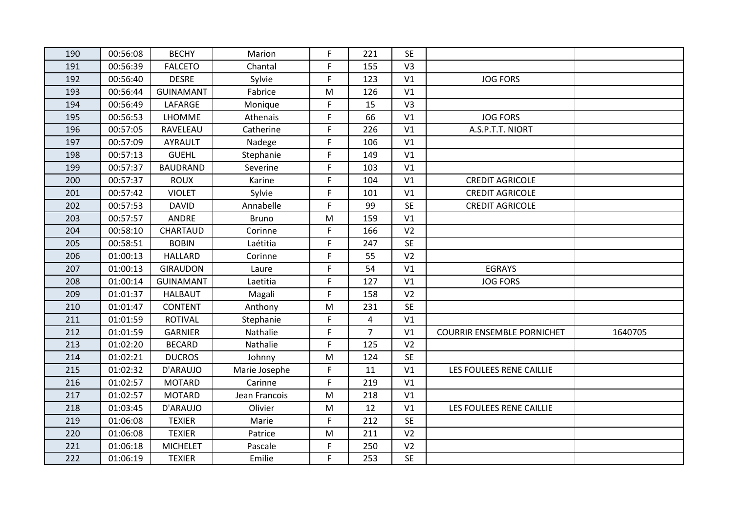| 190 | 00:56:08 | <b>BECHY</b>     | Marion        | F  | 221            | <b>SE</b>      |                                   |         |
|-----|----------|------------------|---------------|----|----------------|----------------|-----------------------------------|---------|
| 191 | 00:56:39 | <b>FALCETO</b>   | Chantal       | F  | 155            | V <sub>3</sub> |                                   |         |
| 192 | 00:56:40 | <b>DESRE</b>     | Sylvie        | F. | 123            | V1             | <b>JOG FORS</b>                   |         |
| 193 | 00:56:44 | <b>GUINAMANT</b> | Fabrice       | M  | 126            | V <sub>1</sub> |                                   |         |
| 194 | 00:56:49 | LAFARGE          | Monique       | F. | 15             | V <sub>3</sub> |                                   |         |
| 195 | 00:56:53 | LHOMME           | Athenais      | F  | 66             | V <sub>1</sub> | <b>JOG FORS</b>                   |         |
| 196 | 00:57:05 | RAVELEAU         | Catherine     | F. | 226            | V1             | A.S.P.T.T. NIORT                  |         |
| 197 | 00:57:09 | <b>AYRAULT</b>   | Nadege        | F  | 106            | V <sub>1</sub> |                                   |         |
| 198 | 00:57:13 | <b>GUEHL</b>     | Stephanie     | F  | 149            | V1             |                                   |         |
| 199 | 00:57:37 | <b>BAUDRAND</b>  | Severine      | F  | 103            | V <sub>1</sub> |                                   |         |
| 200 | 00:57:37 | <b>ROUX</b>      | Karine        | F  | 104            | V <sub>1</sub> | <b>CREDIT AGRICOLE</b>            |         |
| 201 | 00:57:42 | <b>VIOLET</b>    | Sylvie        | F  | 101            | V <sub>1</sub> | <b>CREDIT AGRICOLE</b>            |         |
| 202 | 00:57:53 | <b>DAVID</b>     | Annabelle     | F  | 99             | <b>SE</b>      | <b>CREDIT AGRICOLE</b>            |         |
| 203 | 00:57:57 | <b>ANDRE</b>     | <b>Bruno</b>  | M  | 159            | V <sub>1</sub> |                                   |         |
| 204 | 00:58:10 | CHARTAUD         | Corinne       | F  | 166            | V <sub>2</sub> |                                   |         |
| 205 | 00:58:51 | <b>BOBIN</b>     | Laétitia      | F  | 247            | <b>SE</b>      |                                   |         |
| 206 | 01:00:13 | <b>HALLARD</b>   | Corinne       | F  | 55             | V <sub>2</sub> |                                   |         |
| 207 | 01:00:13 | <b>GIRAUDON</b>  | Laure         | F  | 54             | V <sub>1</sub> | <b>EGRAYS</b>                     |         |
| 208 | 01:00:14 | <b>GUINAMANT</b> | Laetitia      | F  | 127            | V <sub>1</sub> | <b>JOG FORS</b>                   |         |
| 209 | 01:01:37 | <b>HALBAUT</b>   | Magali        | F  | 158            | V <sub>2</sub> |                                   |         |
| 210 | 01:01:47 | <b>CONTENT</b>   | Anthony       | M  | 231            | <b>SE</b>      |                                   |         |
| 211 | 01:01:59 | <b>ROTIVAL</b>   | Stephanie     | F  | 4              | V <sub>1</sub> |                                   |         |
| 212 | 01:01:59 | <b>GARNIER</b>   | Nathalie      | F  | $\overline{7}$ | V <sub>1</sub> | <b>COURRIR ENSEMBLE PORNICHET</b> | 1640705 |
| 213 | 01:02:20 | <b>BECARD</b>    | Nathalie      | F  | 125            | V <sub>2</sub> |                                   |         |
| 214 | 01:02:21 | <b>DUCROS</b>    | Johnny        | M  | 124            | SE             |                                   |         |
| 215 | 01:02:32 | D'ARAUJO         | Marie Josephe | F  | 11             | V <sub>1</sub> | LES FOULEES RENE CAILLIE          |         |
| 216 | 01:02:57 | <b>MOTARD</b>    | Carinne       | F  | 219            | V1             |                                   |         |
| 217 | 01:02:57 | <b>MOTARD</b>    | Jean Francois | M  | 218            | V1             |                                   |         |
| 218 | 01:03:45 | D'ARAUJO         | Olivier       | M  | 12             | V1             | LES FOULEES RENE CAILLIE          |         |
| 219 | 01:06:08 | <b>TEXIER</b>    | Marie         | F  | 212            | <b>SE</b>      |                                   |         |
| 220 | 01:06:08 | <b>TEXIER</b>    | Patrice       | M  | 211            | V <sub>2</sub> |                                   |         |
| 221 | 01:06:18 | <b>MICHELET</b>  | Pascale       | F  | 250            | V <sub>2</sub> |                                   |         |
| 222 | 01:06:19 | <b>TEXIER</b>    | Emilie        | F  | 253            | <b>SE</b>      |                                   |         |